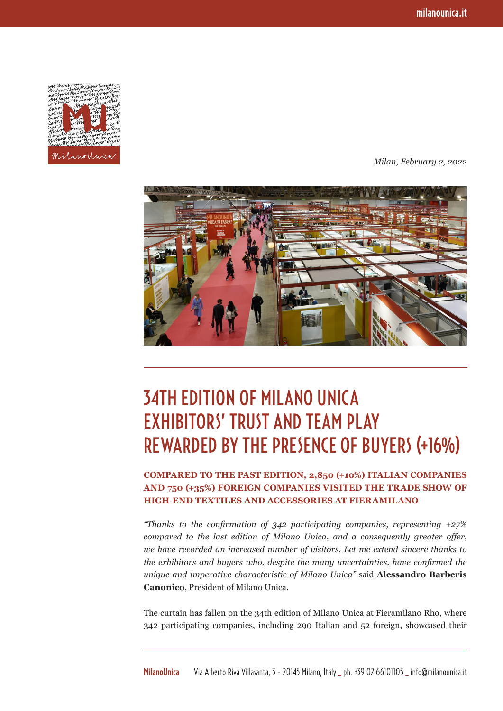

*Milan, February 2, 2022*



## 34TH EDITION OF MILANO UNICA EXHIBITORS' TRUST AND TEAM PLAY REWARDED BY THE PRESENCE OF BUYERS (+16%)

## **COMPARED TO THE PAST EDITION, 2,850 (+10%) ITALIAN COMPANIES AND 750 (+35%) FOREIGN COMPANIES VISITED THE TRADE SHOW OF HIGH-END TEXTILES AND ACCESSORIES AT FIERAMILANO**

*"Thanks to the confirmation of 342 participating companies, representing +27% compared to the last edition of Milano Unica, and a consequently greater offer, we have recorded an increased number of visitors. Let me extend sincere thanks to the exhibitors and buyers who, despite the many uncertainties, have confirmed the unique and imperative characteristic of Milano Unica"* said **Alessandro Barberis Canonico**, President of Milano Unica.

The curtain has fallen on the 34th edition of Milano Unica at Fieramilano Rho, where 342 participating companies, including 290 Italian and 52 foreign, showcased their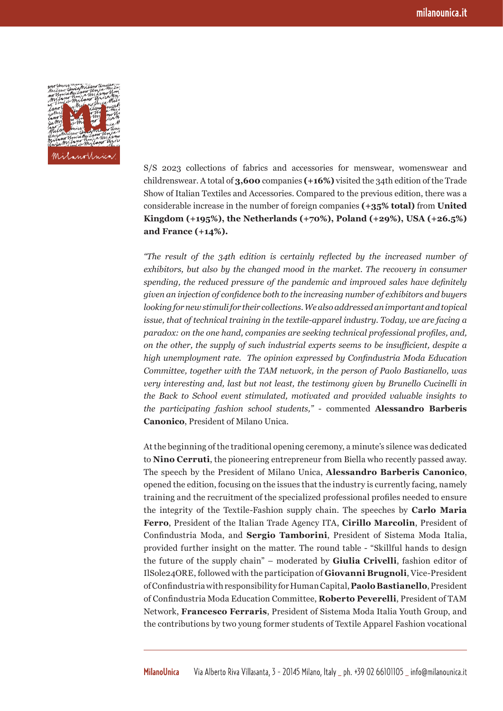

S/S 2023 collections of fabrics and accessories for menswear, womenswear and childrenswear. A total of **3,600** companies **(+16%)** visited the 34th edition of the Trade Show of Italian Textiles and Accessories. Compared to the previous edition, there was a considerable increase in the number of foreign companies **(+35% total)** from **United Kingdom (+195%), the Netherlands (+70%), Poland (+29%), USA (+26.5%) and France (+14%).**

*"The result of the 34th edition is certainly reflected by the increased number of exhibitors, but also by the changed mood in the market. The recovery in consumer spending, the reduced pressure of the pandemic and improved sales have definitely given an injection of confidence both to the increasing number of exhibitors and buyers looking for new stimuli for their collections. We also addressed an important and topical issue, that of technical training in the textile-apparel industry. Today, we are facing a paradox: on the one hand, companies are seeking technical professional profiles, and, on the other, the supply of such industrial experts seems to be insufficient, despite a high unemployment rate. The opinion expressed by Confindustria Moda Education Committee, together with the TAM network, in the person of Paolo Bastianello, was very interesting and, last but not least, the testimony given by Brunello Cucinelli in the Back to School event stimulated, motivated and provided valuable insights to the participating fashion school students,"* - commented **Alessandro Barberis Canonico**, President of Milano Unica.

At the beginning of the traditional opening ceremony, a minute's silence was dedicated to **Nino Cerruti**, the pioneering entrepreneur from Biella who recently passed away. The speech by the President of Milano Unica, **Alessandro Barberis Canonico**, opened the edition, focusing on the issues that the industry is currently facing, namely training and the recruitment of the specialized professional profiles needed to ensure the integrity of the Textile-Fashion supply chain. The speeches by **Carlo Maria Ferro**, President of the Italian Trade Agency ITA, **Cirillo Marcolin**, President of Confindustria Moda, and **Sergio Tamborini**, President of Sistema Moda Italia, provided further insight on the matter. The round table - "Skillful hands to design the future of the supply chain" – moderated by **Giulia Crivelli**, fashion editor of IlSole24ORE, followed with the participation of **Giovanni Brugnoli**, Vice-President of Confindustria with responsibility for Human Capital, **Paolo Bastianello**, President of Confindustria Moda Education Committee, **Roberto Peverelli**, President of TAM Network, **Francesco Ferraris**, President of Sistema Moda Italia Youth Group, and the contributions by two young former students of Textile Apparel Fashion vocational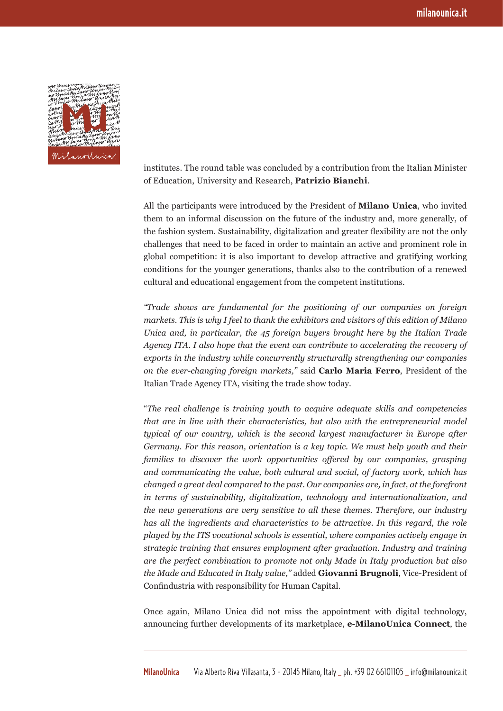

institutes. The round table was concluded by a contribution from the Italian Minister of Education, University and Research, **Patrizio Bianchi**.

All the participants were introduced by the President of **Milano Unica**, who invited them to an informal discussion on the future of the industry and, more generally, of the fashion system. Sustainability, digitalization and greater flexibility are not the only challenges that need to be faced in order to maintain an active and prominent role in global competition: it is also important to develop attractive and gratifying working conditions for the younger generations, thanks also to the contribution of a renewed cultural and educational engagement from the competent institutions.

*"Trade shows are fundamental for the positioning of our companies on foreign markets. This is why I feel to thank the exhibitors and visitors of this edition of Milano Unica and, in particular, the 45 foreign buyers brought here by the Italian Trade Agency ITA. I also hope that the event can contribute to accelerating the recovery of exports in the industry while concurrently structurally strengthening our companies on the ever-changing foreign markets,"* said **Carlo Maria Ferro**, President of the Italian Trade Agency ITA, visiting the trade show today.

"*The real challenge is training youth to acquire adequate skills and competencies that are in line with their characteristics, but also with the entrepreneurial model typical of our country, which is the second largest manufacturer in Europe after Germany. For this reason, orientation is a key topic. We must help youth and their families to discover the work opportunities offered by our companies, grasping and communicating the value, both cultural and social, of factory work, which has changed a great deal compared to the past. Our companies are, in fact, at the forefront in terms of sustainability, digitalization, technology and internationalization, and the new generations are very sensitive to all these themes. Therefore, our industry has all the ingredients and characteristics to be attractive. In this regard, the role played by the ITS vocational schools is essential, where companies actively engage in strategic training that ensures employment after graduation. Industry and training are the perfect combination to promote not only Made in Italy production but also the Made and Educated in Italy value,"* added **Giovanni Brugnoli**, Vice-President of Confindustria with responsibility for Human Capital.

Once again, Milano Unica did not miss the appointment with digital technology, announcing further developments of its marketplace, **e-MilanoUnica Connect**, the